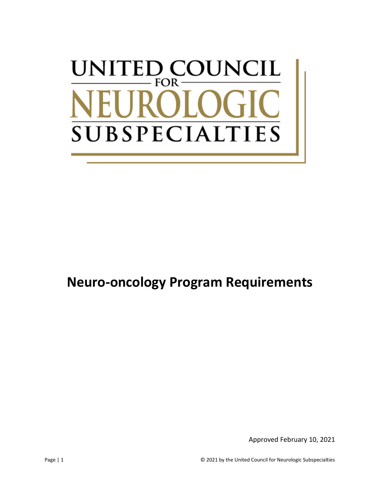# UNITED COUNCIL  $FOR \cdot$ **SUBSPECIALT**  $\Gamma$ IES

# **Neuro-oncology Program Requirements**

Approved February 10, 2021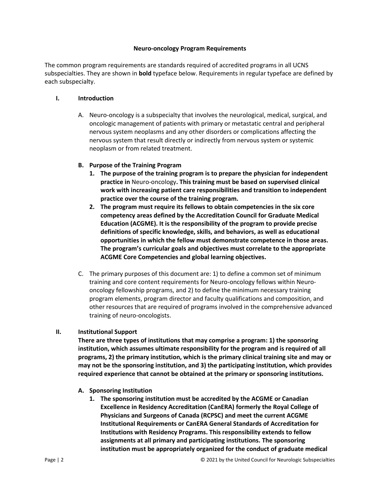#### **Neuro-oncology Program Requirements**

The common program requirements are standards required of accredited programs in all UCNS subspecialties. They are shown in **bold** typeface below. Requirements in regular typeface are defined by each subspecialty.

#### **I. Introduction**

A. Neuro-oncology is a subspecialty that involves the neurological, medical, surgical, and oncologic management of patients with primary or metastatic central and peripheral nervous system neoplasms and any other disorders or complications affecting the nervous system that result directly or indirectly from nervous system or systemic neoplasm or from related treatment.

#### **B. Purpose of the Training Program**

- **1. The purpose of the training program is to prepare the physician for independent practice in** Neuro-oncology**. This training must be based on supervised clinical work with increasing patient care responsibilities and transition to independent practice over the course of the training program.**
- **2. The program must require its fellows to obtain competencies in the six core competency areas defined by the Accreditation Council for Graduate Medical Education (ACGME). It is the responsibility of the program to provide precise definitions of specific knowledge, skills, and behaviors, as well as educational opportunities in which the fellow must demonstrate competence in those areas. The program's curricular goals and objectives must correlate to the appropriate ACGME Core Competencies and global learning objectives.**
- C. The primary purposes of this document are: 1) to define a common set of minimum training and core content requirements for Neuro-oncology fellows within Neurooncology fellowship programs, and 2) to define the minimum necessary training program elements, program director and faculty qualifications and composition, and other resources that are required of programs involved in the comprehensive advanced training of neuro-oncologists.

### **II. Institutional Support**

**There are three types of institutions that may comprise a program: 1) the sponsoring institution, which assumes ultimate responsibility for the program and is required of all programs, 2) the primary institution, which is the primary clinical training site and may or may not be the sponsoring institution, and 3) the participating institution, which provides required experience that cannot be obtained at the primary or sponsoring institutions.**

- **A. Sponsoring Institution**
	- **1. The sponsoring institution must be accredited by the ACGME or Canadian Excellence in Residency Accreditation (CanERA) formerly the Royal College of Physicians and Surgeons of Canada (RCPSC) and meet the current ACGME Institutional Requirements or CanERA General Standards of Accreditation for Institutions with Residency Programs. This responsibility extends to fellow assignments at all primary and participating institutions. The sponsoring institution must be appropriately organized for the conduct of graduate medical**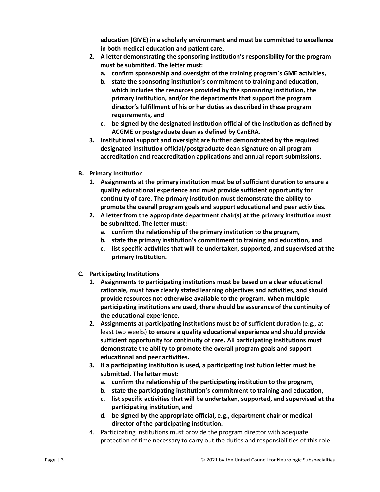**education (GME) in a scholarly environment and must be committed to excellence in both medical education and patient care.**

- **2. A letter demonstrating the sponsoring institution's responsibility for the program must be submitted. The letter must:**
	- **a. confirm sponsorship and oversight of the training program's GME activities,**
	- **b. state the sponsoring institution's commitment to training and education, which includes the resources provided by the sponsoring institution, the primary institution, and/or the departments that support the program director's fulfillment of his or her duties as described in these program requirements, and**
	- **c. be signed by the designated institution official of the institution as defined by ACGME or postgraduate dean as defined by CanERA.**
- **3. Institutional support and oversight are further demonstrated by the required designated institution official/postgraduate dean signature on all program accreditation and reaccreditation applications and annual report submissions.**
- **B. Primary Institution**
	- **1. Assignments at the primary institution must be of sufficient duration to ensure a quality educational experience and must provide sufficient opportunity for continuity of care. The primary institution must demonstrate the ability to promote the overall program goals and support educational and peer activities.**
	- **2. A letter from the appropriate department chair(s) at the primary institution must be submitted. The letter must:**
		- **a. confirm the relationship of the primary institution to the program,**
		- **b. state the primary institution's commitment to training and education, and**
		- **c. list specific activities that will be undertaken, supported, and supervised at the primary institution.**
- **C. Participating Institutions**
	- **1. Assignments to participating institutions must be based on a clear educational rationale, must have clearly stated learning objectives and activities, and should provide resources not otherwise available to the program. When multiple participating institutions are used, there should be assurance of the continuity of the educational experience.**
	- **2. Assignments at participating institutions must be of sufficient duration** (e.g., at least two weeks) **to ensure a quality educational experience and should provide sufficient opportunity for continuity of care. All participating institutions must demonstrate the ability to promote the overall program goals and support educational and peer activities.**
	- **3. If a participating institution is used, a participating institution letter must be submitted. The letter must:**
		- **a. confirm the relationship of the participating institution to the program,**
		- **b. state the participating institution's commitment to training and education,**
		- **c. list specific activities that will be undertaken, supported, and supervised at the participating institution, and**
		- **d. be signed by the appropriate official, e.g., department chair or medical director of the participating institution.**
	- 4. Participating institutions must provide the program director with adequate protection of time necessary to carry out the duties and responsibilities of this role.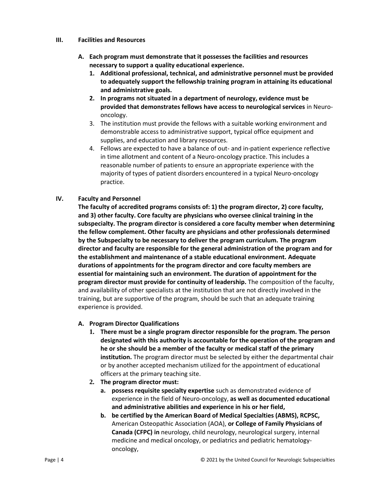#### **III. Facilities and Resources**

- **A. Each program must demonstrate that it possesses the facilities and resources necessary to support a quality educational experience.**
	- **1. Additional professional, technical, and administrative personnel must be provided to adequately support the fellowship training program in attaining its educational and administrative goals.**
	- **2. In programs not situated in a department of neurology, evidence must be provided that demonstrates fellows have access to neurological services** in Neurooncology.
	- 3. The institution must provide the fellows with a suitable working environment and demonstrable access to administrative support, typical office equipment and supplies, and education and library resources.
	- 4. Fellows are expected to have a balance of out- and in-patient experience reflective in time allotment and content of a Neuro-oncology practice. This includes a reasonable number of patients to ensure an appropriate experience with the majority of types of patient disorders encountered in a typical Neuro-oncology practice.

### **IV. Faculty and Personnel**

**The faculty of accredited programs consists of: 1) the program director, 2) core faculty, and 3) other faculty. Core faculty are physicians who oversee clinical training in the subspecialty. The program director is considered a core faculty member when determining the fellow complement. Other faculty are physicians and other professionals determined by the Subspecialty to be necessary to deliver the program curriculum. The program director and faculty are responsible for the general administration of the program and for the establishment and maintenance of a stable educational environment. Adequate durations of appointments for the program director and core faculty members are essential for maintaining such an environment. The duration of appointment for the program director must provide for continuity of leadership.** The composition of the faculty, and availability of other specialists at the institution that are not directly involved in the training, but are supportive of the program, should be such that an adequate training experience is provided.

### **A. Program Director Qualifications**

- **1. There must be a single program director responsible for the program. The person designated with this authority is accountable for the operation of the program and he or she should be a member of the faculty or medical staff of the primary institution.** The program director must be selected by either the departmental chair or by another accepted mechanism utilized for the appointment of educational officers at the primary teaching site.
- **2. The program director must:**
	- **a. possess requisite specialty expertise** such as demonstrated evidence of experience in the field of Neuro-oncology, **as well as documented educational and administrative abilities and experience in his or her field,**
	- **b. be certified by the American Board of Medical Specialties (ABMS), RCPSC,**  American Osteopathic Association (AOA), **or College of Family Physicians of Canada (CFPC) in** neurology, child neurology, neurological surgery, internal medicine and medical oncology, or pediatrics and pediatric hematologyoncology,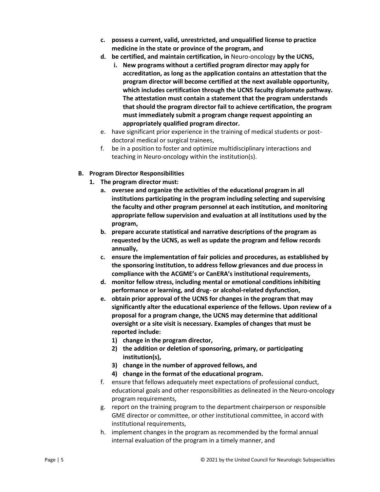- **c. possess a current, valid, unrestricted, and unqualified license to practice medicine in the state or province of the program, and**
- **d. be certified, and maintain certification, in** Neuro-oncology **by the UCNS,**
	- **i. New programs without a certified program director may apply for accreditation, as long as the application contains an attestation that the program director will become certified at the next available opportunity, which includes certification through the UCNS faculty diplomate pathway. The attestation must contain a statement that the program understands that should the program director fail to achieve certification, the program must immediately submit a program change request appointing an appropriately qualified program director.**
- e. have significant prior experience in the training of medical students or postdoctoral medical or surgical trainees,
- f. be in a position to foster and optimize multidisciplinary interactions and teaching in Neuro-oncology within the institution(s).

# **B. Program Director Responsibilities**

- **1. The program director must:**
	- **a. oversee and organize the activities of the educational program in all institutions participating in the program including selecting and supervising the faculty and other program personnel at each institution, and monitoring appropriate fellow supervision and evaluation at all institutions used by the program,**
	- **b. prepare accurate statistical and narrative descriptions of the program as requested by the UCNS, as well as update the program and fellow records annually,**
	- **c. ensure the implementation of fair policies and procedures, as established by the sponsoring institution, to address fellow grievances and due process in compliance with the ACGME's or CanERA's institutional requirements,**
	- **d. monitor fellow stress, including mental or emotional conditions inhibiting performance or learning, and drug- or alcohol-related dysfunction,**
	- **e. obtain prior approval of the UCNS for changes in the program that may significantly alter the educational experience of the fellows. Upon review of a proposal for a program change, the UCNS may determine that additional oversight or a site visit is necessary. Examples of changes that must be reported include:**
		- **1) change in the program director,**
		- **2) the addition or deletion of sponsoring, primary, or participating institution(s),**
		- **3) change in the number of approved fellows, and**
		- **4) change in the format of the educational program.**
	- f. ensure that fellows adequately meet expectations of professional conduct, educational goals and other responsibilities as delineated in the Neuro-oncology program requirements,
	- g. report on the training program to the department chairperson or responsible GME director or committee, or other institutional committee, in accord with institutional requirements,
	- h. implement changes in the program as recommended by the formal annual internal evaluation of the program in a timely manner, and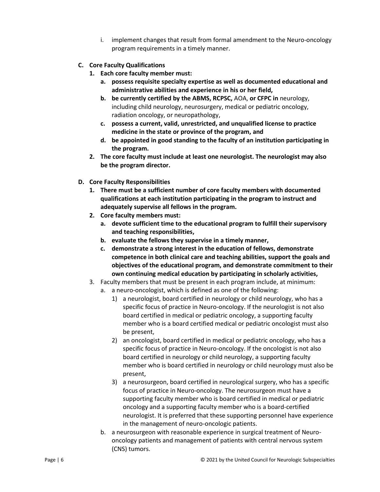- i. implement changes that result from formal amendment to the Neuro-oncology program requirements in a timely manner.
- **C. Core Faculty Qualifications**
	- **1. Each core faculty member must:** 
		- **a. possess requisite specialty expertise as well as documented educational and administrative abilities and experience in his or her field,**
		- **b. be currently certified by the ABMS, RCPSC,** AOA, **or CFPC in** neurology, including child neurology, neurosurgery, medical or pediatric oncology, radiation oncology, or neuropathology,
		- **c. possess a current, valid, unrestricted, and unqualified license to practice medicine in the state or province of the program, and**
		- **d. be appointed in good standing to the faculty of an institution participating in the program.**
	- **2. The core faculty must include at least one neurologist. The neurologist may also be the program director.**
- **D. Core Faculty Responsibilities**
	- **1. There must be a sufficient number of core faculty members with documented qualifications at each institution participating in the program to instruct and adequately supervise all fellows in the program.**
	- **2. Core faculty members must:**
		- **a. devote sufficient time to the educational program to fulfill their supervisory and teaching responsibilities,**
		- **b. evaluate the fellows they supervise in a timely manner,**
		- **c. demonstrate a strong interest in the education of fellows, demonstrate competence in both clinical care and teaching abilities, support the goals and objectives of the educational program, and demonstrate commitment to their own continuing medical education by participating in scholarly activities,**
	- 3. Faculty members that must be present in each program include, at minimum:
		- a. a neuro-oncologist, which is defined as one of the following:
			- 1) a neurologist, board certified in neurology or child neurology, who has a specific focus of practice in Neuro-oncology. If the neurologist is not also board certified in medical or pediatric oncology, a supporting faculty member who is a board certified medical or pediatric oncologist must also be present,
			- 2) an oncologist, board certified in medical or pediatric oncology, who has a specific focus of practice in Neuro-oncology. If the oncologist is not also board certified in neurology or child neurology, a supporting faculty member who is board certified in neurology or child neurology must also be present,
			- 3) a neurosurgeon, board certified in neurological surgery, who has a specific focus of practice in Neuro-oncology. The neurosurgeon must have a supporting faculty member who is board certified in medical or pediatric oncology and a supporting faculty member who is a board-certified neurologist. It is preferred that these supporting personnel have experience in the management of neuro-oncologic patients.
		- b. a neurosurgeon with reasonable experience in surgical treatment of Neurooncology patients and management of patients with central nervous system (CNS) tumors.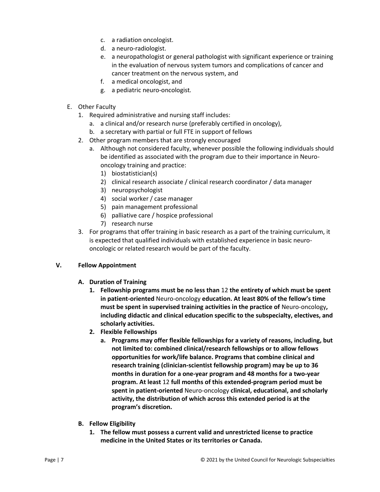- c. a radiation oncologist.
- d. a neuro-radiologist.
- e. a neuropathologist or general pathologist with significant experience or training in the evaluation of nervous system tumors and complications of cancer and cancer treatment on the nervous system, and
- f. a medical oncologist, and
- g. a pediatric neuro-oncologist*.*
- E. Other Faculty
	- 1. Required administrative and nursing staff includes:
		- a. a clinical and/or research nurse (preferably certified in oncology),
		- b. a secretary with partial or full FTE in support of fellows
	- 2. Other program members that are strongly encouraged
		- a. Although not considered faculty, whenever possible the following individuals should be identified as associated with the program due to their importance in Neurooncology training and practice:
			- 1) biostatistician(s)
			- 2) clinical research associate / clinical research coordinator / data manager
			- 3) neuropsychologist
			- 4) social worker / case manager
			- 5) pain management professional
			- 6) palliative care / hospice professional
			- 7) research nurse
	- 3. For programs that offer training in basic research as a part of the training curriculum, it is expected that qualified individuals with established experience in basic neurooncologic or related research would be part of the faculty.

### **V. Fellow Appointment**

- **A. Duration of Training**
	- **1. Fellowship programs must be no less than** 12 **the entirety of which must be spent in patient-oriented** Neuro-oncology **education. At least 80% of the fellow's time must be spent in supervised training activities in the practice of** Neuro-oncology**, including didactic and clinical education specific to the subspecialty, electives, and scholarly activities.**
	- **2. Flexible Fellowships**
		- **a. Programs may offer flexible fellowships for a variety of reasons, including, but not limited to: combined clinical/research fellowships or to allow fellows opportunities for work/life balance. Programs that combine clinical and research training (clinician-scientist fellowship program) may be up to 36 months in duration for a one-year program and 48 months for a two-year program. At least** 12 **full months of this extended-program period must be spent in patient-oriented** Neuro-oncology **clinical, educational, and scholarly activity, the distribution of which across this extended period is at the program's discretion.**
- **B. Fellow Eligibility**
	- **1. The fellow must possess a current valid and unrestricted license to practice medicine in the United States or its territories or Canada.**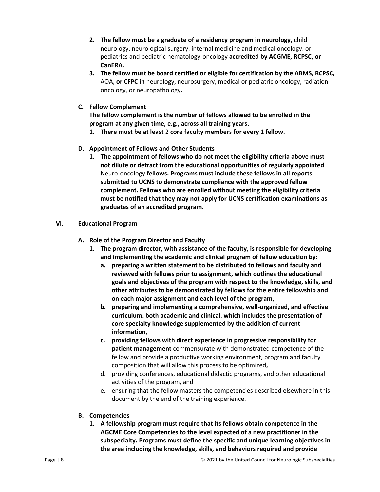- **2. The fellow must be a graduate of a residency program in neurology,** child neurology, neurological surgery, internal medicine and medical oncology, or pediatrics and pediatric hematology-oncology **accredited by ACGME, RCPSC, or CanERA.**
- **3. The fellow must be board certified or eligible for certification by the ABMS, RCPSC,**  AOA, **or CFPC in** neurology, neurosurgery, medical or pediatric oncology, radiation oncology, or neuropathology**.**
- **C. Fellow Complement**

**The fellow complement is the number of fellows allowed to be enrolled in the program at any given time, e.g., across all training years.** 

- **1. There must be at least** 2 **core faculty member**s **for every** 1 **fellow.**
- **D. Appointment of Fellows and Other Students**
	- **1. The appointment of fellows who do not meet the eligibility criteria above must not dilute or detract from the educational opportunities of regularly appointed**  Neuro-oncology **fellows. Programs must include these fellows in all reports submitted to UCNS to demonstrate compliance with the approved fellow complement. Fellows who are enrolled without meeting the eligibility criteria must be notified that they may not apply for UCNS certification examinations as graduates of an accredited program.**
- **VI. Educational Program**
	- **A. Role of the Program Director and Faculty**
		- **1. The program director, with assistance of the faculty, is responsible for developing and implementing the academic and clinical program of fellow education by:**
			- **a. preparing a written statement to be distributed to fellows and faculty and reviewed with fellows prior to assignment, which outlines the educational goals and objectives of the program with respect to the knowledge, skills, and other attributes to be demonstrated by fellows for the entire fellowship and on each major assignment and each level of the program,**
			- **b. preparing and implementing a comprehensive, well-organized, and effective curriculum, both academic and clinical, which includes the presentation of core specialty knowledge supplemented by the addition of current information,**
			- **c. providing fellows with direct experience in progressive responsibility for patient management** commensurate with demonstrated competence of the fellow and provide a productive working environment, program and faculty composition that will allow this process to be optimized**,**
			- d. providing conferences, educational didactic programs, and other educational activities of the program, and
			- e. ensuring that the fellow masters the competencies described elsewhere in this document by the end of the training experience.
	- **B. Competencies**
		- **1. A fellowship program must require that its fellows obtain competence in the AGCME Core Competencies to the level expected of a new practitioner in the subspecialty. Programs must define the specific and unique learning objectives in the area including the knowledge, skills, and behaviors required and provide**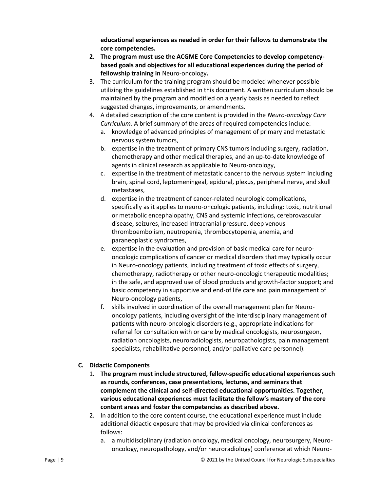**educational experiences as needed in order for their fellows to demonstrate the core competencies.**

- **2. The program must use the ACGME Core Competencies to develop competencybased goals and objectives for all educational experiences during the period of fellowship training in** Neuro-oncology**.**
- 3. The curriculum for the training program should be modeled whenever possible utilizing the guidelines established in this document. A written curriculum should be maintained by the program and modified on a yearly basis as needed to reflect suggested changes, improvements, or amendments.
- 4. A detailed description of the core content is provided in the *Neuro-oncology Core Curriculum.* A brief summary of the areas of required competencies include:
	- a. knowledge of advanced principles of management of primary and metastatic nervous system tumors,
	- b. expertise in the treatment of primary CNS tumors including surgery, radiation, chemotherapy and other medical therapies, and an up-to-date knowledge of agents in clinical research as applicable to Neuro-oncology,
	- c. expertise in the treatment of metastatic cancer to the nervous system including brain, spinal cord, leptomeningeal, epidural, plexus, peripheral nerve, and skull metastases,
	- d. expertise in the treatment of cancer-related neurologic complications, specifically as it applies to neuro-oncologic patients, including: toxic, nutritional or metabolic encephalopathy, CNS and systemic infections, cerebrovascular disease, seizures, increased intracranial pressure, deep venous thromboembolism, neutropenia, thrombocytopenia, anemia, and paraneoplastic syndromes,
	- e. expertise in the evaluation and provision of basic medical care for neurooncologic complications of cancer or medical disorders that may typically occur in Neuro-oncology patients, including treatment of toxic effects of surgery, chemotherapy, radiotherapy or other neuro-oncologic therapeutic modalities; in the safe, and approved use of blood products and growth-factor support; and basic competency in supportive and end-of life care and pain management of Neuro-oncology patients,
	- f. skills involved in coordination of the overall management plan for Neurooncology patients, including oversight of the interdisciplinary management of patients with neuro-oncologic disorders (e.g., appropriate indications for referral for consultation with or care by medical oncologists, neurosurgeon, radiation oncologists, neuroradiologists, neuropathologists, pain management specialists, rehabilitative personnel, and/or palliative care personnel).

### **C. Didactic Components**

- 1. **The program must include structured, fellow-specific educational experiences such as rounds, conferences, case presentations, lectures, and seminars that complement the clinical and self-directed educational opportunities. Together, various educational experiences must facilitate the fellow's mastery of the core content areas and foster the competencies as described above.**
- 2. In addition to the core content course, the educational experience must include additional didactic exposure that may be provided via clinical conferences as follows:
	- a. a multidisciplinary (radiation oncology, medical oncology, neurosurgery, Neurooncology, neuropathology, and/or neuroradiology) conference at which Neuro-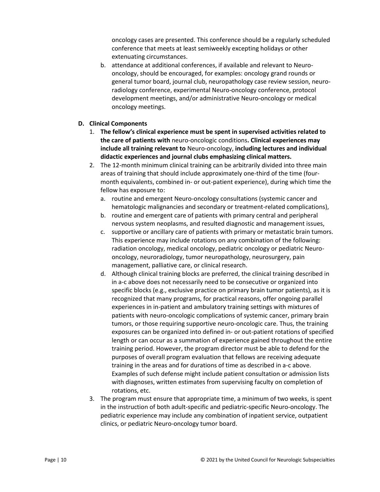oncology cases are presented. This conference should be a regularly scheduled conference that meets at least semiweekly excepting holidays or other extenuating circumstances.

- b. attendance at additional conferences, if available and relevant to Neurooncology, should be encouraged, for examples: oncology grand rounds or general tumor board, journal club, neuropathology case review session, neuroradiology conference, experimental Neuro-oncology conference, protocol development meetings, and/or administrative Neuro-oncology or medical oncology meetings.
- **D. Clinical Components**
	- 1. **The fellow's clinical experience must be spent in supervised activities related to the care of patients with** neuro-oncologic conditions**. Clinical experiences may include all training relevant to** Neuro-oncology, **including lectures and individual didactic experiences and journal clubs emphasizing clinical matters.**
	- 2. The 12-month minimum clinical training can be arbitrarily divided into three main areas of training that should include approximately one-third of the time (fourmonth equivalents, combined in- or out-patient experience), during which time the fellow has exposure to:
		- a. routine and emergent Neuro-oncology consultations (systemic cancer and hematologic malignancies and secondary or treatment-related complications),
		- b. routine and emergent care of patients with primary central and peripheral nervous system neoplasms, and resulted diagnostic and management issues,
		- c. supportive or ancillary care of patients with primary or metastatic brain tumors. This experience may include rotations on any combination of the following: radiation oncology, medical oncology, pediatric oncology or pediatric Neurooncology, neuroradiology, tumor neuropathology, neurosurgery, pain management, palliative care, or clinical research.
		- d. Although clinical training blocks are preferred, the clinical training described in in a-c above does not necessarily need to be consecutive or organized into specific blocks (e.g., exclusive practice on primary brain tumor patients), as it is recognized that many programs, for practical reasons, offer ongoing parallel experiences in in-patient and ambulatory training settings with mixtures of patients with neuro-oncologic complications of systemic cancer, primary brain tumors, or those requiring supportive neuro-oncologic care. Thus, the training exposures can be organized into defined in- or out-patient rotations of specified length or can occur as a summation of experience gained throughout the entire training period. However, the program director must be able to defend for the purposes of overall program evaluation that fellows are receiving adequate training in the areas and for durations of time as described in a-c above. Examples of such defense might include patient consultation or admission lists with diagnoses, written estimates from supervising faculty on completion of rotations, etc.
	- 3. The program must ensure that appropriate time, a minimum of two weeks, is spent in the instruction of both adult-specific and pediatric-specific Neuro-oncology. The pediatric experience may include any combination of inpatient service, outpatient clinics, or pediatric Neuro-oncology tumor board.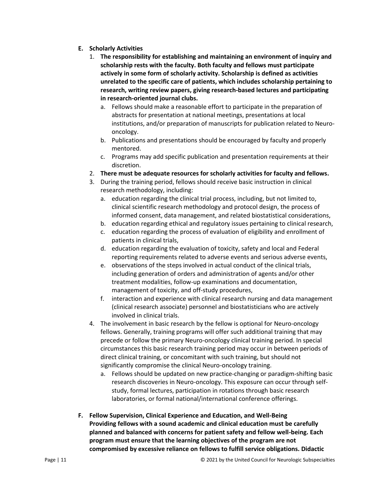- **E. Scholarly Activities**
	- 1. **The responsibility for establishing and maintaining an environment of inquiry and scholarship rests with the faculty. Both faculty and fellows must participate actively in some form of scholarly activity. Scholarship is defined as activities unrelated to the specific care of patients, which includes scholarship pertaining to research, writing review papers, giving research-based lectures and participating in research-oriented journal clubs.**
		- a. Fellows should make a reasonable effort to participate in the preparation of abstracts for presentation at national meetings, presentations at local institutions, and/or preparation of manuscripts for publication related to Neurooncology.
		- b. Publications and presentations should be encouraged by faculty and properly mentored.
		- c. Programs may add specific publication and presentation requirements at their discretion.
	- 2. **There must be adequate resources for scholarly activities for faculty and fellows.**
	- 3. During the training period, fellows should receive basic instruction in clinical research methodology, including:
		- a. education regarding the clinical trial process, including, but not limited to, clinical scientific research methodology and protocol design, the process of informed consent, data management, and related biostatistical considerations,
		- b. education regarding ethical and regulatory issues pertaining to clinical research,
		- c. education regarding the process of evaluation of eligibility and enrollment of patients in clinical trials,
		- d. education regarding the evaluation of toxicity, safety and local and Federal reporting requirements related to adverse events and serious adverse events,
		- e. observations of the steps involved in actual conduct of the clinical trials, including generation of orders and administration of agents and/or other treatment modalities, follow-up examinations and documentation, management of toxicity, and off-study procedures,
		- f. interaction and experience with clinical research nursing and data management (clinical research associate) personnel and biostatisticians who are actively involved in clinical trials.
	- 4. The involvement in basic research by the fellow is optional for Neuro-oncology fellows. Generally, training programs will offer such additional training that may precede or follow the primary Neuro-oncology clinical training period. In special circumstances this basic research training period may occur in between periods of direct clinical training, or concomitant with such training, but should not significantly compromise the clinical Neuro-oncology training.
		- a. Fellows should be updated on new practice-changing or paradigm-shifting basic research discoveries in Neuro-oncology. This exposure can occur through selfstudy, formal lectures, participation in rotations through basic research laboratories, or formal national/international conference offerings.
- **F. Fellow Supervision, Clinical Experience and Education, and Well-Being Providing fellows with a sound academic and clinical education must be carefully planned and balanced with concerns for patient safety and fellow well-being. Each program must ensure that the learning objectives of the program are not compromised by excessive reliance on fellows to fulfill service obligations. Didactic**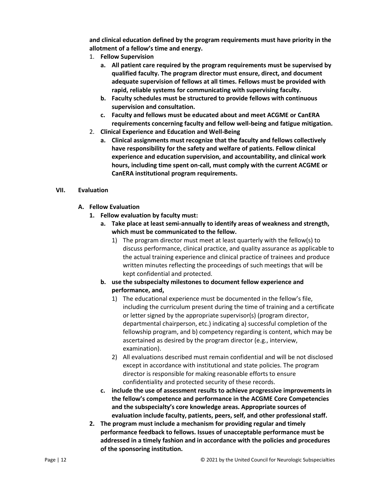**and clinical education defined by the program requirements must have priority in the allotment of a fellow's time and energy.**

- 1. **Fellow Supervision**
	- **a. All patient care required by the program requirements must be supervised by qualified faculty. The program director must ensure, direct, and document adequate supervision of fellows at all times. Fellows must be provided with rapid, reliable systems for communicating with supervising faculty.**
	- **b. Faculty schedules must be structured to provide fellows with continuous supervision and consultation.**
	- **c. Faculty and fellows must be educated about and meet ACGME or CanERA requirements concerning faculty and fellow well-being and fatigue mitigation.**
- 2. **Clinical Experience and Education and Well-Being**
	- **a. Clinical assignments must recognize that the faculty and fellows collectively have responsibility for the safety and welfare of patients. Fellow clinical experience and education supervision, and accountability, and clinical work hours, including time spent on-call, must comply with the current ACGME or CanERA institutional program requirements.**

### **VII. Evaluation**

- **A. Fellow Evaluation**
	- **1. Fellow evaluation by faculty must:**
		- **a. Take place at least semi-annually to identify areas of weakness and strength, which must be communicated to the fellow.**
			- 1) The program director must meet at least quarterly with the fellow(s) to discuss performance, clinical practice, and quality assurance as applicable to the actual training experience and clinical practice of trainees and produce written minutes reflecting the proceedings of such meetings that will be kept confidential and protected.
		- **b. use the subspecialty milestones to document fellow experience and performance, and,**
			- 1) The educational experience must be documented in the fellow's file, including the curriculum present during the time of training and a certificate or letter signed by the appropriate supervisor(s) (program director, departmental chairperson, etc.) indicating a) successful completion of the fellowship program, and b) competency regarding is content, which may be ascertained as desired by the program director (e.g., interview, examination).
			- 2) All evaluations described must remain confidential and will be not disclosed except in accordance with institutional and state policies. The program director is responsible for making reasonable efforts to ensure confidentiality and protected security of these records.
		- **c. include the use of assessment results to achieve progressive improvements in the fellow's competence and performance in the ACGME Core Competencies and the subspecialty's core knowledge areas. Appropriate sources of evaluation include faculty, patients, peers, self, and other professional staff.**
	- **2. The program must include a mechanism for providing regular and timely performance feedback to fellows. Issues of unacceptable performance must be addressed in a timely fashion and in accordance with the policies and procedures of the sponsoring institution.**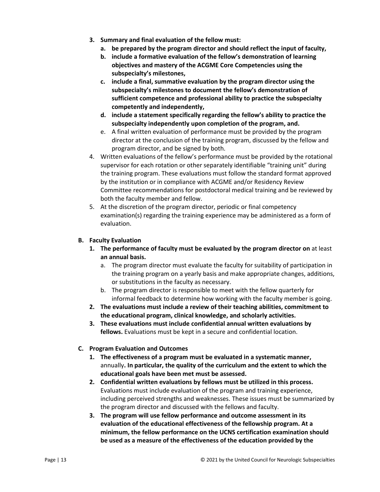- **3. Summary and final evaluation of the fellow must:**
	- **a. be prepared by the program director and should reflect the input of faculty,**
	- **b. include a formative evaluation of the fellow's demonstration of learning objectives and mastery of the ACGME Core Competencies using the subspecialty's milestones,**
	- **c. include a final, summative evaluation by the program director using the subspecialty's milestones to document the fellow's demonstration of sufficient competence and professional ability to practice the subspecialty competently and independently,**
	- **d. include a statement specifically regarding the fellow's ability to practice the subspecialty independently upon completion of the program, and.**
	- e. A final written evaluation of performance must be provided by the program director at the conclusion of the training program, discussed by the fellow and program director, and be signed by both.
- 4. Written evaluations of the fellow's performance must be provided by the rotational supervisor for each rotation or other separately identifiable "training unit" during the training program. These evaluations must follow the standard format approved by the institution or in compliance with ACGME and/or Residency Review Committee recommendations for postdoctoral medical training and be reviewed by both the faculty member and fellow.
- 5. At the discretion of the program director, periodic or final competency examination(s) regarding the training experience may be administered as a form of evaluation.

# **B. Faculty Evaluation**

- **1. The performance of faculty must be evaluated by the program director on** at least **an annual basis.**
	- a. The program director must evaluate the faculty for suitability of participation in the training program on a yearly basis and make appropriate changes, additions, or substitutions in the faculty as necessary.
	- b. The program director is responsible to meet with the fellow quarterly for informal feedback to determine how working with the faculty member is going.
- **2. The evaluations must include a review of their teaching abilities, commitment to the educational program, clinical knowledge, and scholarly activities.**
- **3. These evaluations must include confidential annual written evaluations by fellows.** Evaluations must be kept in a secure and confidential location.

# **C. Program Evaluation and Outcomes**

- **1. The effectiveness of a program must be evaluated in a systematic manner,**  annually**. In particular, the quality of the curriculum and the extent to which the educational goals have been met must be assessed.**
- **2. Confidential written evaluations by fellows must be utilized in this process.**  Evaluations must include evaluation of the program and training experience, including perceived strengths and weaknesses. These issues must be summarized by the program director and discussed with the fellows and faculty.
- **3. The program will use fellow performance and outcome assessment in its evaluation of the educational effectiveness of the fellowship program. At a minimum, the fellow performance on the UCNS certification examination should be used as a measure of the effectiveness of the education provided by the**